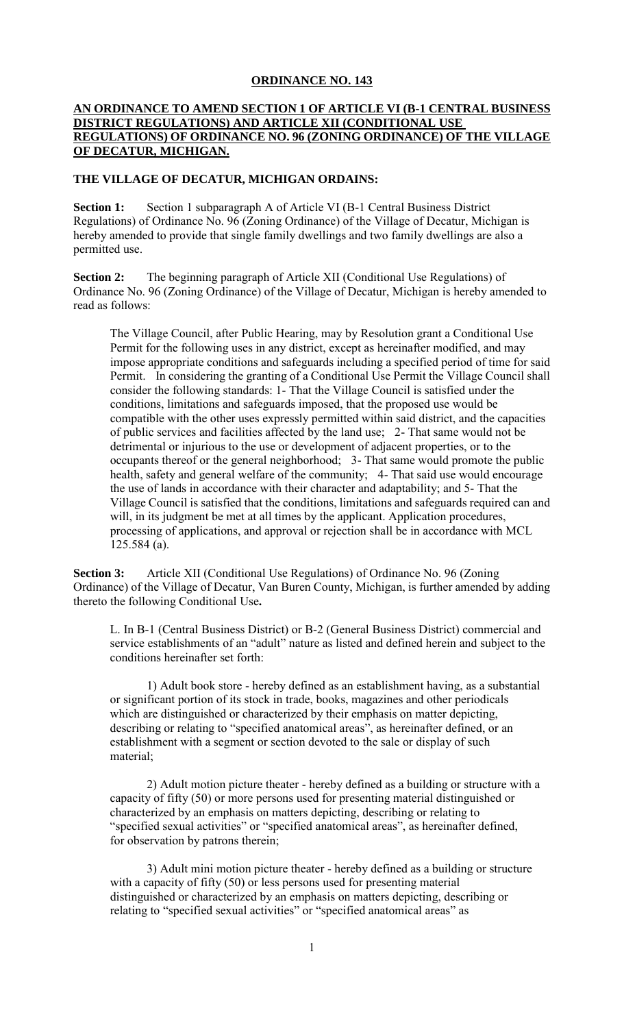## **ORDINANCE NO. 143**

## **AN ORDINANCE TO AMEND SECTION 1 OF ARTICLE VI (B-1 CENTRAL BUSINESS DISTRICT REGULATIONS) AND ARTICLE XII (CONDITIONAL USE REGULATIONS) OF ORDINANCE NO. 96 (ZONING ORDINANCE) OF THE VILLAGE OF DECATUR, MICHIGAN.**

## **THE VILLAGE OF DECATUR, MICHIGAN ORDAINS:**

**Section 1:** Section 1 subparagraph A of Article VI (B-1 Central Business District Regulations) of Ordinance No. 96 (Zoning Ordinance) of the Village of Decatur, Michigan is hereby amended to provide that single family dwellings and two family dwellings are also a permitted use.

**Section 2:** The beginning paragraph of Article XII (Conditional Use Regulations) of Ordinance No. 96 (Zoning Ordinance) of the Village of Decatur, Michigan is hereby amended to read as follows:

The Village Council, after Public Hearing, may by Resolution grant a Conditional Use Permit for the following uses in any district, except as hereinafter modified, and may impose appropriate conditions and safeguards including a specified period of time for said Permit. In considering the granting of a Conditional Use Permit the Village Council shall consider the following standards: 1- That the Village Council is satisfied under the conditions, limitations and safeguards imposed, that the proposed use would be compatible with the other uses expressly permitted within said district, and the capacities of public services and facilities affected by the land use; 2- That same would not be detrimental or injurious to the use or development of adjacent properties, or to the occupants thereof or the general neighborhood; 3- That same would promote the public health, safety and general welfare of the community; 4- That said use would encourage the use of lands in accordance with their character and adaptability; and 5- That the Village Council is satisfied that the conditions, limitations and safeguards required can and will, in its judgment be met at all times by the applicant. Application procedures, processing of applications, and approval or rejection shall be in accordance with MCL 125.584 (a).

**Section 3:** Article XII (Conditional Use Regulations) of Ordinance No. 96 (Zoning Ordinance) of the Village of Decatur, Van Buren County, Michigan, is further amended by adding thereto the following Conditional Use**.**

L. In B-1 (Central Business District) or B-2 (General Business District) commercial and service establishments of an "adult" nature as listed and defined herein and subject to the conditions hereinafter set forth:

1) Adult book store - hereby defined as an establishment having, as a substantial or significant portion of its stock in trade, books, magazines and other periodicals which are distinguished or characterized by their emphasis on matter depicting, describing or relating to "specified anatomical areas", as hereinafter defined, or an establishment with a segment or section devoted to the sale or display of such material;

2) Adult motion picture theater - hereby defined as a building or structure with a capacity of fifty (50) or more persons used for presenting material distinguished or characterized by an emphasis on matters depicting, describing or relating to "specified sexual activities" or "specified anatomical areas", as hereinafter defined, for observation by patrons therein;

3) Adult mini motion picture theater - hereby defined as a building or structure with a capacity of fifty (50) or less persons used for presenting material distinguished or characterized by an emphasis on matters depicting, describing or relating to "specified sexual activities" or "specified anatomical areas" as